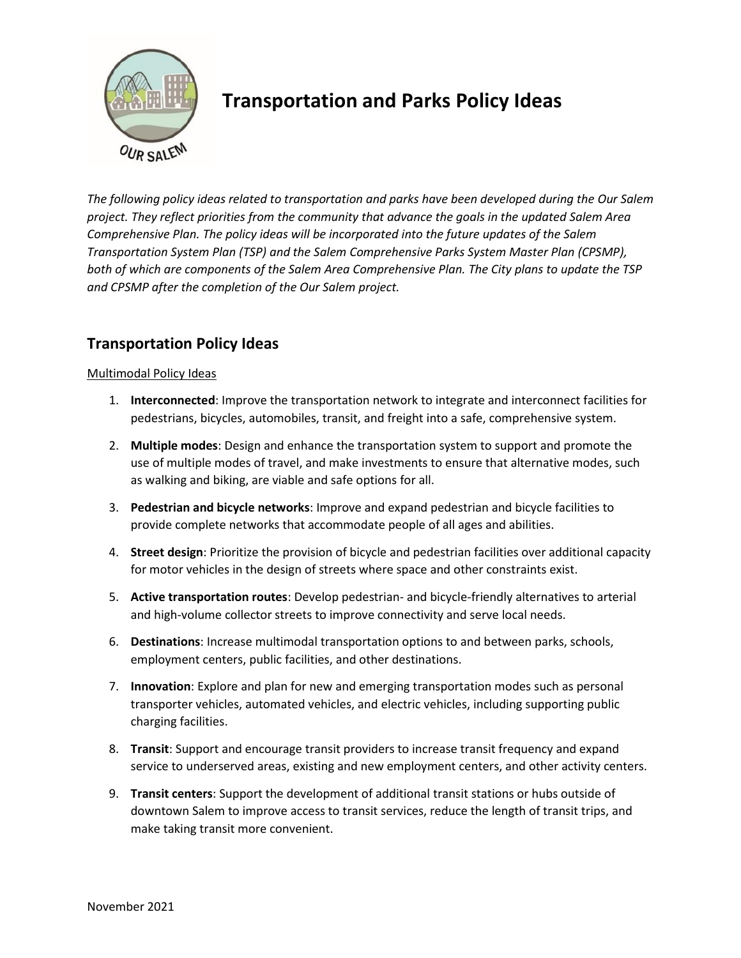

# **Transportation and Parks Policy Ideas**

*The following policy ideas related to transportation and parks have been developed during the Our Salem project. They reflect priorities from the community that advance the goals in the updated Salem Area Comprehensive Plan. The policy ideas will be incorporated into the future updates of the Salem Transportation System Plan (TSP) and the Salem Comprehensive Parks System Master Plan (CPSMP), both of which are components of the Salem Area Comprehensive Plan. The City plans to update the TSP and CPSMP after the completion of the Our Salem project.*

## **Transportation Policy Ideas**

#### Multimodal Policy Ideas

- 1. **Interconnected**: Improve the transportation network to integrate and interconnect facilities for pedestrians, bicycles, automobiles, transit, and freight into a safe, comprehensive system.
- 2. **Multiple modes**: Design and enhance the transportation system to support and promote the use of multiple modes of travel, and make investments to ensure that alternative modes, such as walking and biking, are viable and safe options for all.
- 3. **Pedestrian and bicycle networks**: Improve and expand pedestrian and bicycle facilities to provide complete networks that accommodate people of all ages and abilities.
- 4. **Street design**: Prioritize the provision of bicycle and pedestrian facilities over additional capacity for motor vehicles in the design of streets where space and other constraints exist.
- 5. **Active transportation routes**: Develop pedestrian- and bicycle-friendly alternatives to arterial and high-volume collector streets to improve connectivity and serve local needs.
- 6. **Destinations**: Increase multimodal transportation options to and between parks, schools, employment centers, public facilities, and other destinations.
- 7. **Innovation**: Explore and plan for new and emerging transportation modes such as personal transporter vehicles, automated vehicles, and electric vehicles, including supporting public charging facilities.
- 8. **Transit**: Support and encourage transit providers to increase transit frequency and expand service to underserved areas, existing and new employment centers, and other activity centers.
- 9. **Transit centers**: Support the development of additional transit stations or hubs outside of downtown Salem to improve access to transit services, reduce the length of transit trips, and make taking transit more convenient.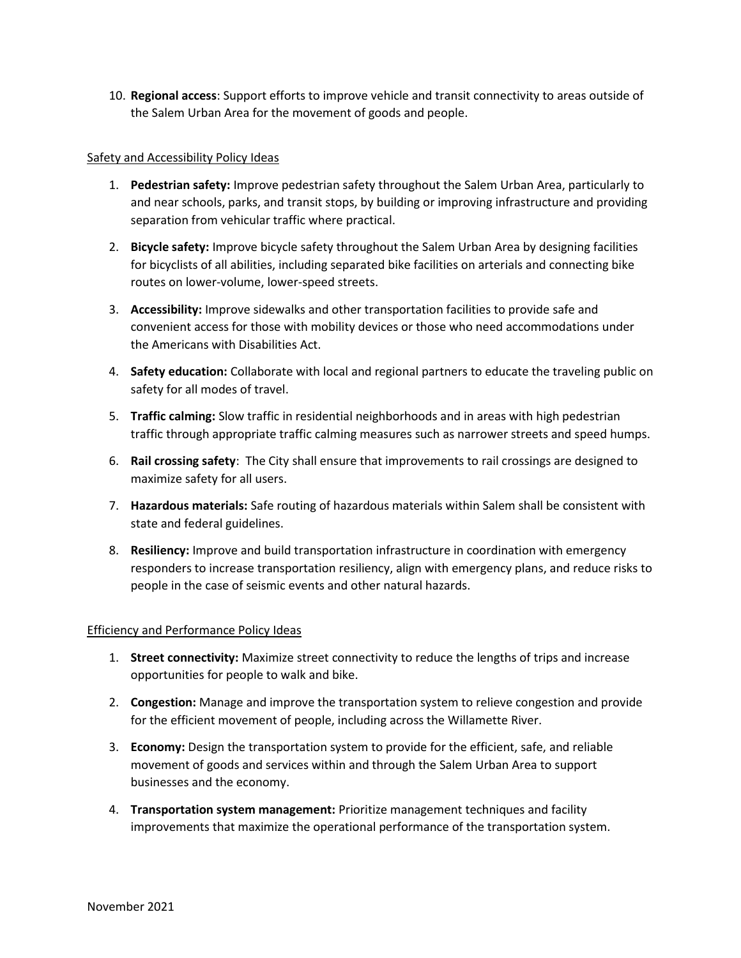10. **Regional access**: Support efforts to improve vehicle and transit connectivity to areas outside of the Salem Urban Area for the movement of goods and people.

#### Safety and Accessibility Policy Ideas

- 1. **Pedestrian safety:** Improve pedestrian safety throughout the Salem Urban Area, particularly to and near schools, parks, and transit stops, by building or improving infrastructure and providing separation from vehicular traffic where practical.
- 2. **Bicycle safety:** Improve bicycle safety throughout the Salem Urban Area by designing facilities for bicyclists of all abilities, including separated bike facilities on arterials and connecting bike routes on lower-volume, lower-speed streets.
- 3. **Accessibility:** Improve sidewalks and other transportation facilities to provide safe and convenient access for those with mobility devices or those who need accommodations under the Americans with Disabilities Act.
- 4. **Safety education:** Collaborate with local and regional partners to educate the traveling public on safety for all modes of travel.
- 5. **Traffic calming:** Slow traffic in residential neighborhoods and in areas with high pedestrian traffic through appropriate traffic calming measures such as narrower streets and speed humps.
- 6. **Rail crossing safety**: The City shall ensure that improvements to rail crossings are designed to maximize safety for all users.
- 7. **Hazardous materials:** Safe routing of hazardous materials within Salem shall be consistent with state and federal guidelines.
- 8. **Resiliency:** Improve and build transportation infrastructure in coordination with emergency responders to increase transportation resiliency, align with emergency plans, and reduce risks to people in the case of seismic events and other natural hazards.

#### Efficiency and Performance Policy Ideas

- 1. **Street connectivity:** Maximize street connectivity to reduce the lengths of trips and increase opportunities for people to walk and bike.
- 2. **Congestion:** Manage and improve the transportation system to relieve congestion and provide for the efficient movement of people, including across the Willamette River.
- 3. **Economy:** Design the transportation system to provide for the efficient, safe, and reliable movement of goods and services within and through the Salem Urban Area to support businesses and the economy.
- 4. **Transportation system management:** Prioritize management techniques and facility improvements that maximize the operational performance of the transportation system.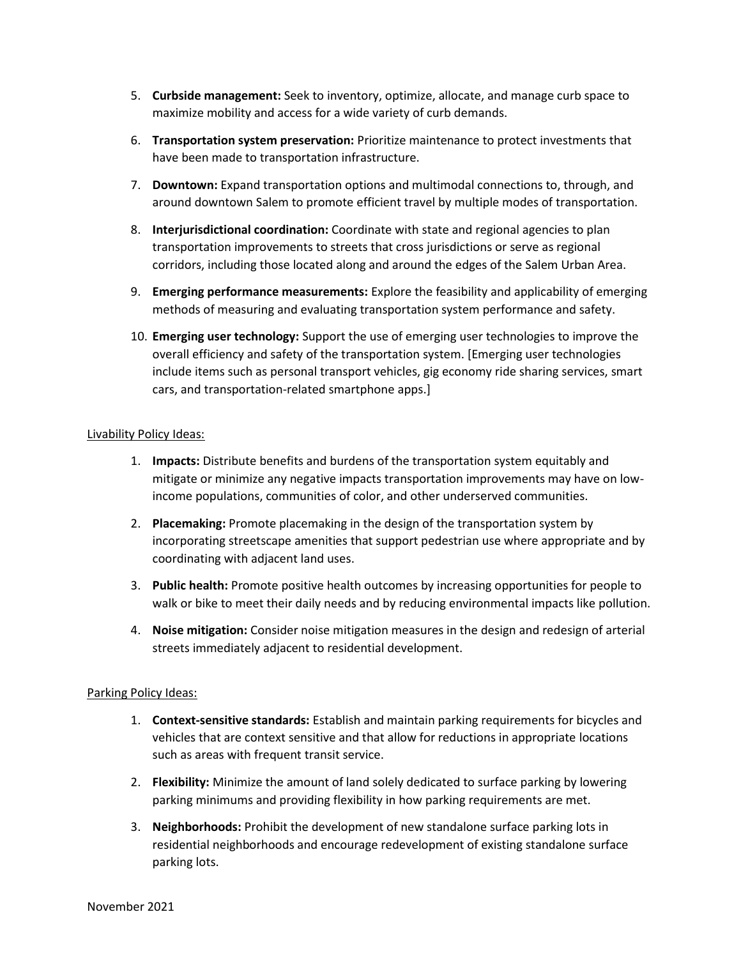- 5. **Curbside management:** Seek to inventory, optimize, allocate, and manage curb space to maximize mobility and access for a wide variety of curb demands.
- 6. **Transportation system preservation:** Prioritize maintenance to protect investments that have been made to transportation infrastructure.
- 7. **Downtown:** Expand transportation options and multimodal connections to, through, and around downtown Salem to promote efficient travel by multiple modes of transportation.
- 8. **Interjurisdictional coordination:** Coordinate with state and regional agencies to plan transportation improvements to streets that cross jurisdictions or serve as regional corridors, including those located along and around the edges of the Salem Urban Area.
- 9. **Emerging performance measurements:** Explore the feasibility and applicability of emerging methods of measuring and evaluating transportation system performance and safety.
- 10. **Emerging user technology:** Support the use of emerging user technologies to improve the overall efficiency and safety of the transportation system. [Emerging user technologies include items such as personal transport vehicles, gig economy ride sharing services, smart cars, and transportation-related smartphone apps.]

#### Livability Policy Ideas:

- 1. **Impacts:** Distribute benefits and burdens of the transportation system equitably and mitigate or minimize any negative impacts transportation improvements may have on lowincome populations, communities of color, and other underserved communities.
- 2. **Placemaking:** Promote placemaking in the design of the transportation system by incorporating streetscape amenities that support pedestrian use where appropriate and by coordinating with adjacent land uses.
- 3. **Public health:** Promote positive health outcomes by increasing opportunities for people to walk or bike to meet their daily needs and by reducing environmental impacts like pollution.
- 4. **Noise mitigation:** Consider noise mitigation measures in the design and redesign of arterial streets immediately adjacent to residential development.

#### Parking Policy Ideas:

- 1. **Context-sensitive standards:** Establish and maintain parking requirements for bicycles and vehicles that are context sensitive and that allow for reductions in appropriate locations such as areas with frequent transit service.
- 2. **Flexibility:** Minimize the amount of land solely dedicated to surface parking by lowering parking minimums and providing flexibility in how parking requirements are met.
- 3. **Neighborhoods:** Prohibit the development of new standalone surface parking lots in residential neighborhoods and encourage redevelopment of existing standalone surface parking lots.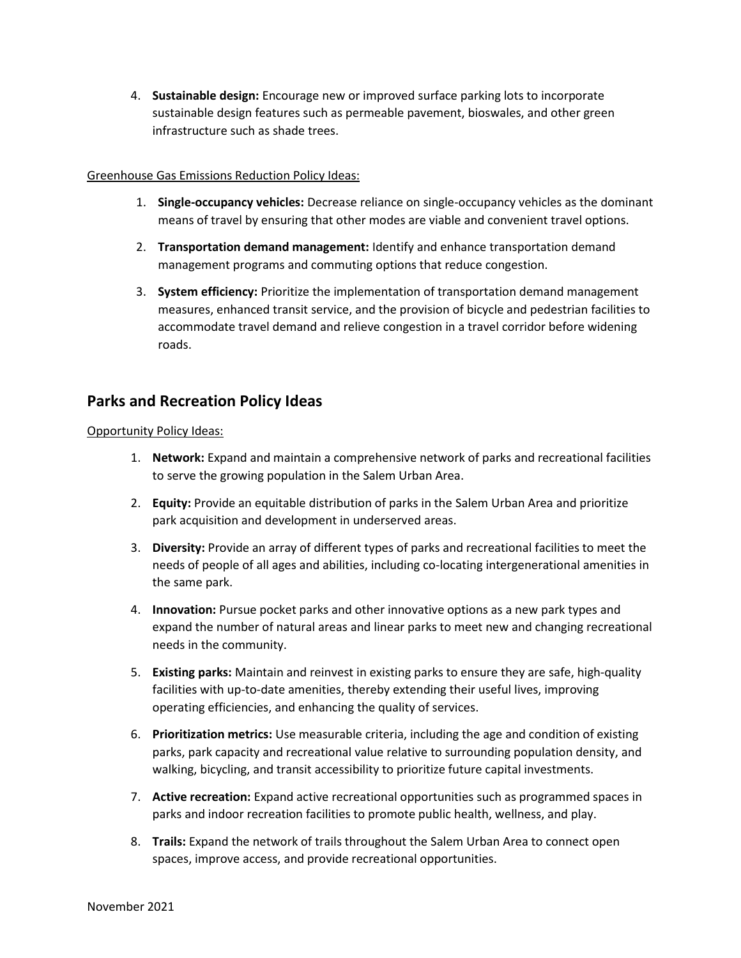4. **Sustainable design:** Encourage new or improved surface parking lots to incorporate sustainable design features such as permeable pavement, bioswales, and other green infrastructure such as shade trees.

#### Greenhouse Gas Emissions Reduction Policy Ideas:

- 1. **Single-occupancy vehicles:** Decrease reliance on single-occupancy vehicles as the dominant means of travel by ensuring that other modes are viable and convenient travel options.
- 2. **Transportation demand management:** Identify and enhance transportation demand management programs and commuting options that reduce congestion.
- 3. **System efficiency:** Prioritize the implementation of transportation demand management measures, enhanced transit service, and the provision of bicycle and pedestrian facilities to accommodate travel demand and relieve congestion in a travel corridor before widening roads.

### **Parks and Recreation Policy Ideas**

#### Opportunity Policy Ideas:

- 1. **Network:** Expand and maintain a comprehensive network of parks and recreational facilities to serve the growing population in the Salem Urban Area.
- 2. **Equity:** Provide an equitable distribution of parks in the Salem Urban Area and prioritize park acquisition and development in underserved areas.
- 3. **Diversity:** Provide an array of different types of parks and recreational facilities to meet the needs of people of all ages and abilities, including co-locating intergenerational amenities in the same park.
- 4. **Innovation:** Pursue pocket parks and other innovative options as a new park types and expand the number of natural areas and linear parks to meet new and changing recreational needs in the community.
- 5. **Existing parks:** Maintain and reinvest in existing parks to ensure they are safe, high-quality facilities with up-to-date amenities, thereby extending their useful lives, improving operating efficiencies, and enhancing the quality of services.
- 6. **Prioritization metrics:** Use measurable criteria, including the age and condition of existing parks, park capacity and recreational value relative to surrounding population density, and walking, bicycling, and transit accessibility to prioritize future capital investments.
- 7. **Active recreation:** Expand active recreational opportunities such as programmed spaces in parks and indoor recreation facilities to promote public health, wellness, and play.
- 8. **Trails:** Expand the network of trails throughout the Salem Urban Area to connect open spaces, improve access, and provide recreational opportunities.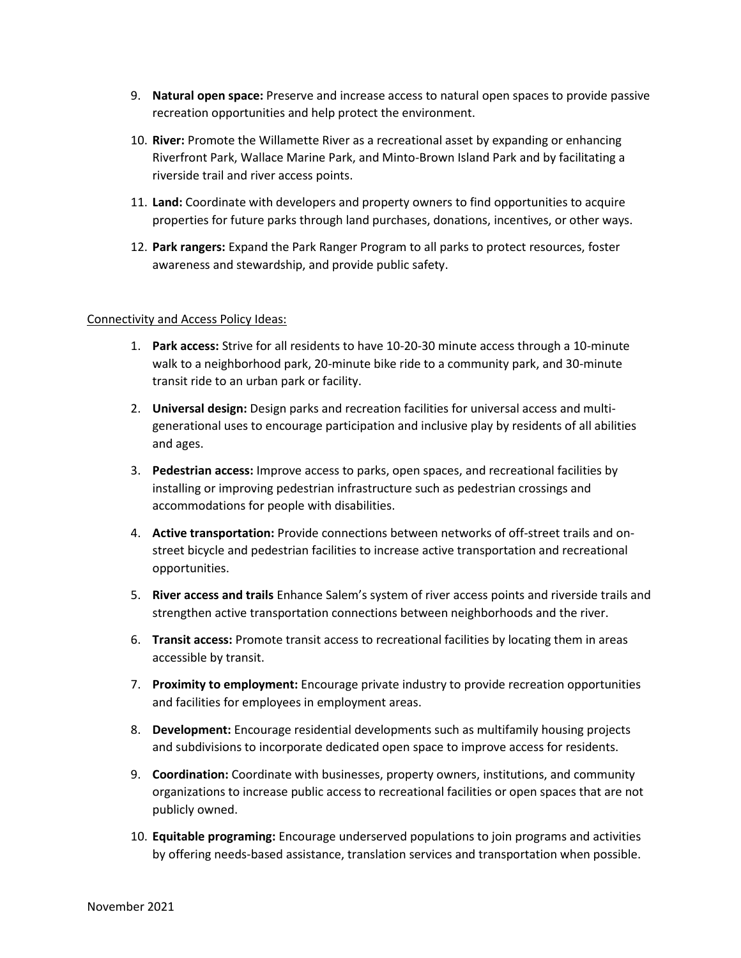- 9. **Natural open space:** Preserve and increase access to natural open spaces to provide passive recreation opportunities and help protect the environment.
- 10. **River:** Promote the Willamette River as a recreational asset by expanding or enhancing Riverfront Park, Wallace Marine Park, and Minto-Brown Island Park and by facilitating a riverside trail and river access points.
- 11. **Land:** Coordinate with developers and property owners to find opportunities to acquire properties for future parks through land purchases, donations, incentives, or other ways.
- 12. **Park rangers:** Expand the Park Ranger Program to all parks to protect resources, foster awareness and stewardship, and provide public safety.

#### Connectivity and Access Policy Ideas:

- 1. **Park access:** Strive for all residents to have 10-20-30 minute access through a 10-minute walk to a neighborhood park, 20-minute bike ride to a community park, and 30-minute transit ride to an urban park or facility.
- 2. **Universal design:** Design parks and recreation facilities for universal access and multigenerational uses to encourage participation and inclusive play by residents of all abilities and ages.
- 3. **Pedestrian access:** Improve access to parks, open spaces, and recreational facilities by installing or improving pedestrian infrastructure such as pedestrian crossings and accommodations for people with disabilities.
- 4. **Active transportation:** Provide connections between networks of off-street trails and onstreet bicycle and pedestrian facilities to increase active transportation and recreational opportunities.
- 5. **River access and trails** Enhance Salem's system of river access points and riverside trails and strengthen active transportation connections between neighborhoods and the river.
- 6. **Transit access:** Promote transit access to recreational facilities by locating them in areas accessible by transit.
- 7. **Proximity to employment:** Encourage private industry to provide recreation opportunities and facilities for employees in employment areas.
- 8. **Development:** Encourage residential developments such as multifamily housing projects and subdivisions to incorporate dedicated open space to improve access for residents.
- 9. **Coordination:** Coordinate with businesses, property owners, institutions, and community organizations to increase public access to recreational facilities or open spaces that are not publicly owned.
- 10. **Equitable programing:** Encourage underserved populations to join programs and activities by offering needs-based assistance, translation services and transportation when possible.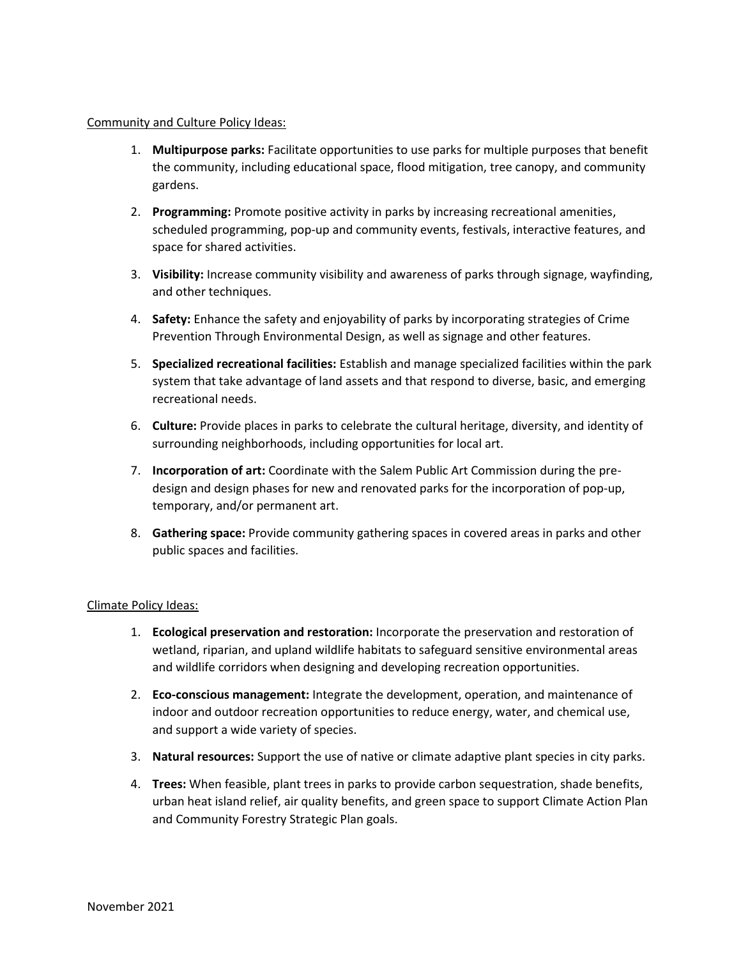#### Community and Culture Policy Ideas:

- 1. **Multipurpose parks:** Facilitate opportunities to use parks for multiple purposes that benefit the community, including educational space, flood mitigation, tree canopy, and community gardens.
- 2. **Programming:** Promote positive activity in parks by increasing recreational amenities, scheduled programming, pop-up and community events, festivals, interactive features, and space for shared activities.
- 3. **Visibility:** Increase community visibility and awareness of parks through signage, wayfinding, and other techniques.
- 4. **Safety:** Enhance the safety and enjoyability of parks by incorporating strategies of Crime Prevention Through Environmental Design, as well as signage and other features.
- 5. **Specialized recreational facilities:** Establish and manage specialized facilities within the park system that take advantage of land assets and that respond to diverse, basic, and emerging recreational needs.
- 6. **Culture:** Provide places in parks to celebrate the cultural heritage, diversity, and identity of surrounding neighborhoods, including opportunities for local art.
- 7. **Incorporation of art:** Coordinate with the Salem Public Art Commission during the predesign and design phases for new and renovated parks for the incorporation of pop-up, temporary, and/or permanent art.
- 8. **Gathering space:** Provide community gathering spaces in covered areas in parks and other public spaces and facilities.

#### Climate Policy Ideas:

- 1. **Ecological preservation and restoration:** Incorporate the preservation and restoration of wetland, riparian, and upland wildlife habitats to safeguard sensitive environmental areas and wildlife corridors when designing and developing recreation opportunities.
- 2. **Eco-conscious management:** Integrate the development, operation, and maintenance of indoor and outdoor recreation opportunities to reduce energy, water, and chemical use, and support a wide variety of species.
- 3. **Natural resources:** Support the use of native or climate adaptive plant species in city parks.
- 4. **Trees:** When feasible, plant trees in parks to provide carbon sequestration, shade benefits, urban heat island relief, air quality benefits, and green space to support Climate Action Plan and Community Forestry Strategic Plan goals.